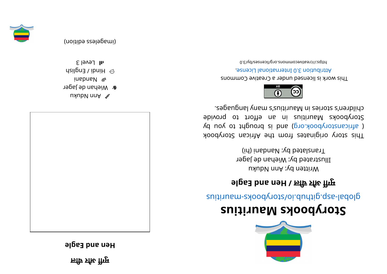**ली चर औ ुगम e** Heu and Eagle



wnpD unA **r** Wiehan de Jager i nadna N  $q$ sil $q$ na  $\ell$  ipui $H \odot$ 





 $s$ l Level 3



## **<sup>s</sup> ui ti r ua Mskoobyr otS**

suitius rate.gliquor syoodynotal abolisting and the suiting

## **el gaE dna ne H/ ली चर औ ुगम**

Written by: Ann Nduku Illustrated by: Wiehan de Jager Translated by: Nandani (hi)

This story originates from the African Storybook ye use of the solve of the puor signal parameter of a parameter of  $\alpha$  parameter  $\beta$ Storybooks Mauritius in an effort to provide segaugnal yna man man syndei reddi yn seis synger.



This work is licensed under a Creative Commons . esnecial lanoit anternational License.

0. Elvdl aercommons.org/licenses/lyco-0.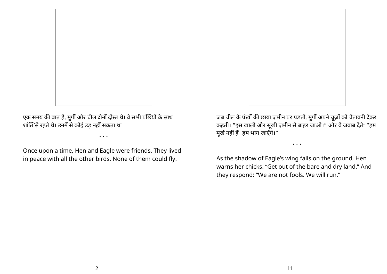

एक समय की बात है, मुर्गी और चील दोनों दोस्त थे। वे सभी पंछियों के साथ शांति से रहते थे। उनमें से कोई उड़ नहीं सकता था।

• • •

Once upon a time, Hen and Eagle were friends. They lived in peace with all the other birds. None of them could fly.

जब चील के पंखों की छाया ज़मीन पर पड़ती, मुर्गी अपने चूज़ों को चेतावनी देकर कहती। "इस खाली और सूखी ज़मीन सेबाहर जाओ।" और वेजवाब देते : "हम मूर्ख नहीं हैं। हम भाग जाएँगे।"

• • •

As the shadow of Eagle's wing falls on the ground, Hen warns her chicks. "Get out of the bare and dry land." And they respond: "We are not fools. We will run."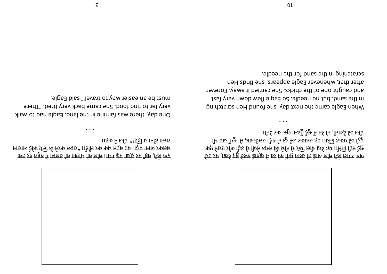

क्र प्राले हैं तर के साइ तो उसने मुगी को रेत में खुदाई करते हुए देखा, पर उसे कुप निरुध और बैंक देख सी है। इस दिन के ची वाले के बैंकि हम्में सर पहले और उसने पत्न ी भिया कि सिट्टी के बाद कर बाद कर दिया है। उसके बाद की बाद की बाद कर दिया कि सिट्टी के बाद कर दिया थी। इसके पर ।किई रुक ऋषु मिरुङ्कै ईप्टु में फर्र कि ,किछर्द कि लिप्ति

• • •

When Eagle came the next day, she hound Hen scratching in the sand, but no needle. So Eagle flew down very fast and caught one of the chicks. She carried it away. Forever after that, whenever Eagle appears, she finds Hen el beed in the sand for the needle.

क्ता रुट्ट महुब में 1811 कि मर्जाय कि लगि आया या या यह पंडा कप मा सबस के निके प्रति के स्प्रेस के नर्वता ने कर को को है और अपसान ।।इक न लोर्न "! एंड्रोार्न ार्नाइ ।।छारु

• • •

One day, there was famine in the land. Eagle had to walk er fired. The reprode to be came back very tired. "There must be an easier way to travel!" said Eagle.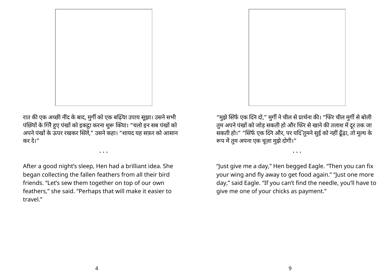

"मुझे सिर्फ एक दिने दो," मुर्गी ने चील से प्रार्थना की। "फिर चील मुर्गी से बोली तुम अपने पंखों को जोड़ सकती हो और फिर से खाने की तलाश में दूर तक जा सकती हो।" "सिर्फ एक दिने और, पर यदि तुमने सुई को नहीं ढूँढ़ा, तो मूल्य के रूप में तुम अपना एक चूज़ा मुझे दोगी।"

"Just give me a day," Hen begged Eagle. "Then you can fix your wing and fly away to get food again." "Just one more day," said Eagle. "If you can't find the needle, you'll have to give me one of your chicks as payment."

• • •



रात की एक अच्छी नींद के बाद, मुर्गी को एक बढ़िया उपाय सूझा। उसने सभी पंछियों के गिरै हुए पंखों को इकट्ठा करना शुरू किया। "चलो इन सब पंखों को अपने पंखों के ऊपर रखकर सिलें," उसने कहा। "शायद यह सफ़र को आसान कर दे।"

• • •

After a good night's sleep, Hen had a brilliant idea. She began collecting the fallen feathers from all their bird friends. "Let's sew them together on top of our own feathers," she said. "Perhaps that will make it easier to travel."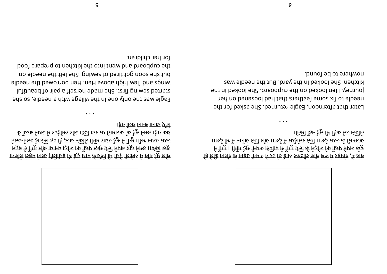



• • •

Eagle was the only one in the village with a needle, so she lutitus de aning first. She made herself a pair of beautiful wings and tlew high above Hen. Hen borrowed the needle but she soon got tired of sewing. She left the needle on the cupboard and went into the kitchen to prepare food tor her children.



<u>वि लिये नार्थां</u> के नाइट निगर निरुट कि इंगर रुके लौक लौं र रहागें से आर् र्न गेंगूम । गिगँम ईफ़ु निगरु ा्नगिरु मिगुम एली की निर्डाल कि छिंग निगरु कीटु ।।छर्द मि में नागेंछ प्र्लगे र्जार ।।छर्द्र में प्रदर्शासर र्जगे ।।छर्द्र प्रारु के प्रिामलुरु ।किमी हिन ट्रेप्ट मि॰ हिक र्स्ट न्त्लिलि

• • •

Later that afternoon, Eagle returned. She asked for the reedle to fix some feathers that had loosened on her journey. Hen looked on the cupboard. She looked in the kitchen. She looked in the yard. But the needle was nowhere to be found.